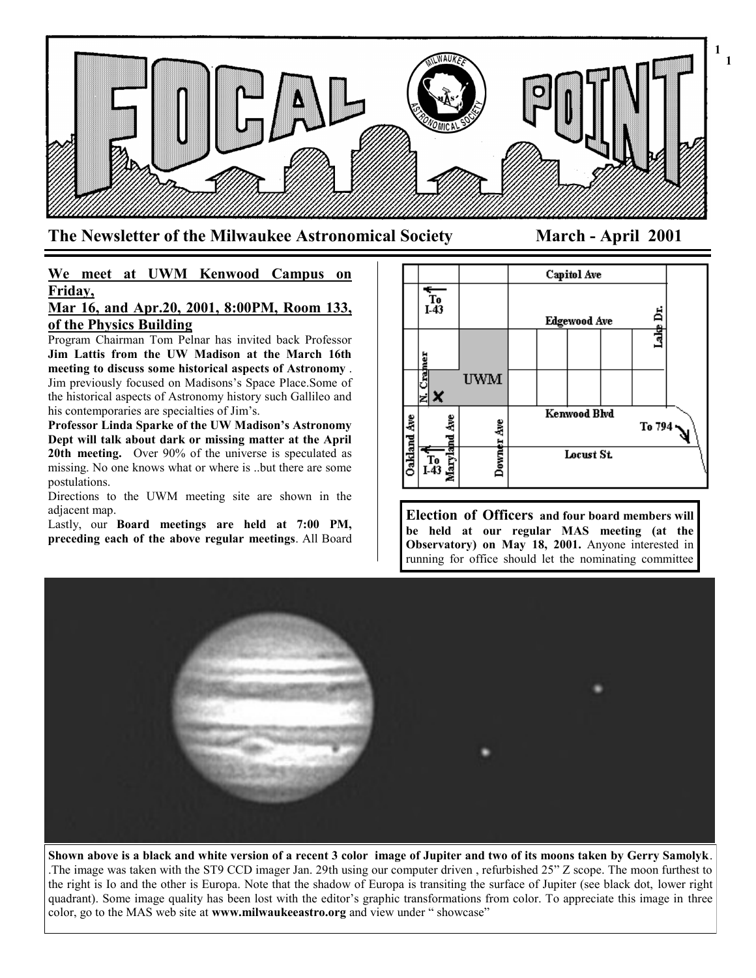

**The Newsletter of the Milwaukee Astronomical Society March - April 2001**

**1**

# **We meet at UWM Kenwood Campus on Friday,**

## **Mar 16, and Apr.20, 2001, 8:00PM, Room 133, of the Physics Building**

Program Chairman Tom Pelnar has invited back Professor **Jim Lattis from the UW Madison at the March 16th meeting to discuss some historical aspects of Astronomy** . Jim previously focused on Madisons's Space Place.Some of the historical aspects of Astronomy history such Gallileo and his contemporaries are specialties of Jim's.

**Professor Linda Sparke of the UW Madison's Astronomy Dept will talk about dark or missing matter at the April 20th meeting.** Over 90% of the universe is speculated as missing. No one knows what or where is ..but there are some postulations.

Directions to the UWM meeting site are shown in the adjacent map.

Lastly, our **Board meetings are held at 7:00 PM, preceding each of the above regular meetings**. All Board



**Election of Officers and four board members will be held at our regular MAS meeting (at the Observatory) on May 18, 2001.** Anyone interested in running for office should let the nominating committee



**Shown above is a black and white version of a recent 3 color image of Jupiter and two of its moons taken by Gerry Samolyk**. .The image was taken with the ST9 CCD imager Jan. 29th using our computer driven , refurbished 25" Z scope. The moon furthest to the right is Io and the other is Europa. Note that the shadow of Europa is transiting the surface of Jupiter (see black dot, lower right quadrant). Some image quality has been lost with the editor's graphic transformations from color. To appreciate this image in three color, go to the MAS web site at **www.milwaukeeastro.org** and view under " showcase"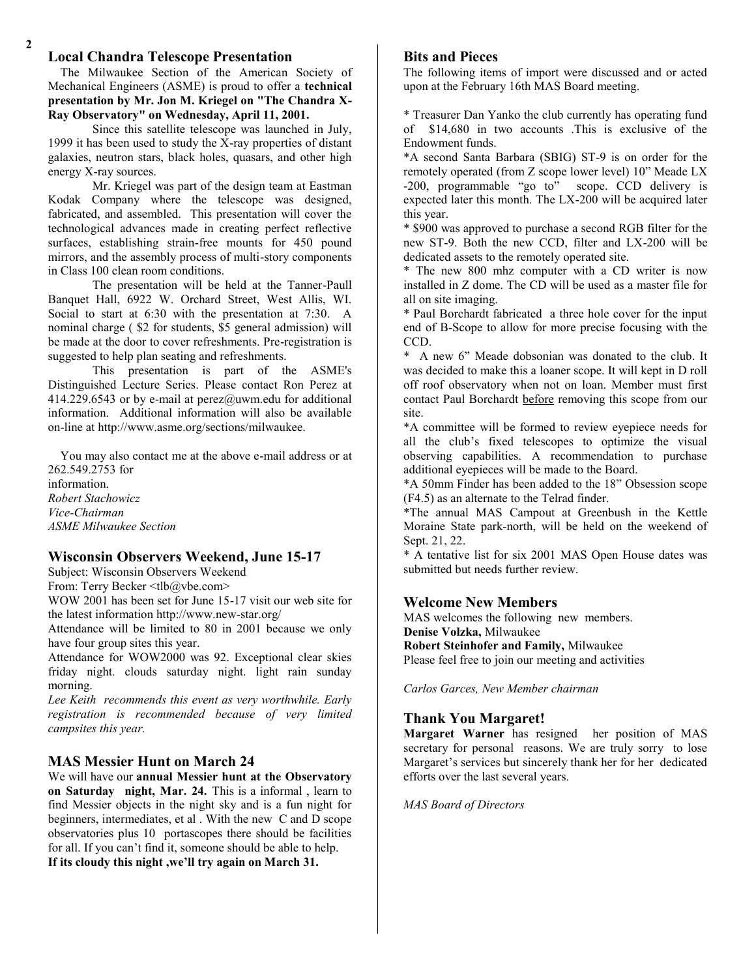## **Local Chandra Telescope Presentation**

 The Milwaukee Section of the American Society of Mechanical Engineers (ASME) is proud to offer a **technical presentation by Mr. Jon M. Kriegel on "The Chandra X-Ray Observatory" on Wednesday, April 11, 2001.**

Since this satellite telescope was launched in July, 1999 it has been used to study the X-ray properties of distant galaxies, neutron stars, black holes, quasars, and other high energy X-ray sources.

Mr. Kriegel was part of the design team at Eastman Kodak Company where the telescope was designed, fabricated, and assembled. This presentation will cover the technological advances made in creating perfect reflective surfaces, establishing strain-free mounts for 450 pound mirrors, and the assembly process of multi-story components in Class 100 clean room conditions.

The presentation will be held at the Tanner-Paull Banquet Hall, 6922 W. Orchard Street, West Allis, WI. Social to start at 6:30 with the presentation at 7:30. A nominal charge ( \$2 for students, \$5 general admission) will be made at the door to cover refreshments. Pre-registration is suggested to help plan seating and refreshments.

This presentation is part of the ASME's Distinguished Lecture Series. Please contact Ron Perez at 414.229.6543 or by e-mail at perez@uwm.edu for additional information. Additional information will also be available on-line at http://www.asme.org/sections/milwaukee.

 You may also contact me at the above e-mail address or at 262.549.2753 for information. *Robert Stachowicz Vice-Chairman ASME Milwaukee Section*

## **Wisconsin Observers Weekend, June 15-17**

Subject: Wisconsin Observers Weekend

From: Terry Becker <tlb@ybe.com>

WOW 2001 has been set for June 15-17 visit our web site for the latest information http://www.new-star.org/

Attendance will be limited to 80 in 2001 because we only have four group sites this year.

Attendance for WOW2000 was 92. Exceptional clear skies friday night. clouds saturday night. light rain sunday morning.

*Lee Keith recommends this event as very worthwhile. Early registration is recommended because of very limited campsites this year.*

## **MAS Messier Hunt on March 24**

We will have our **annual Messier hunt at the Observatory on Saturday night, Mar. 24.** This is a informal , learn to find Messier objects in the night sky and is a fun night for beginners, intermediates, et al . With the new C and D scope observatories plus 10 portascopes there should be facilities for all. If you can't find it, someone should be able to help. **If its cloudy this night ,we'll try again on March 31.**

## **Bits and Pieces**

The following items of import were discussed and or acted upon at the February 16th MAS Board meeting.

\* Treasurer Dan Yanko the club currently has operating fund of \$14,680 in two accounts .This is exclusive of the Endowment funds.

\*A second Santa Barbara (SBIG) ST-9 is on order for the remotely operated (from Z scope lower level) 10" Meade LX -200, programmable "go to" scope. CCD delivery is expected later this month. The LX-200 will be acquired later this year.

\* \$900 was approved to purchase a second RGB filter for the new ST-9. Both the new CCD, filter and LX-200 will be dedicated assets to the remotely operated site.

\* The new 800 mhz computer with a CD writer is now installed in Z dome. The CD will be used as a master file for all on site imaging.

\* Paul Borchardt fabricated a three hole cover for the input end of B-Scope to allow for more precise focusing with the CCD.

\* A new 6" Meade dobsonian was donated to the club. It was decided to make this a loaner scope. It will kept in D roll off roof observatory when not on loan. Member must first contact Paul Borchardt before removing this scope from our site.

\*A committee will be formed to review eyepiece needs for all the club's fixed telescopes to optimize the visual observing capabilities. A recommendation to purchase additional eyepieces will be made to the Board.

\*A 50mm Finder has been added to the 18" Obsession scope (F4.5) as an alternate to the Telrad finder.

\*The annual MAS Campout at Greenbush in the Kettle Moraine State park-north, will be held on the weekend of Sept. 21, 22.

\* A tentative list for six 2001 MAS Open House dates was submitted but needs further review.

### **Welcome New Members**

MAS welcomes the following new members. **Denise Volzka,** Milwaukee

**Robert Steinhofer and Family,** Milwaukee Please feel free to join our meeting and activities

*Carlos Garces, New Member chairman*

## **Thank You Margaret!**

**Margaret Warner** has resigned her position of MAS secretary for personal reasons. We are truly sorry to lose Margaret's services but sincerely thank her for her dedicated efforts over the last several years.

*MAS Board of Directors*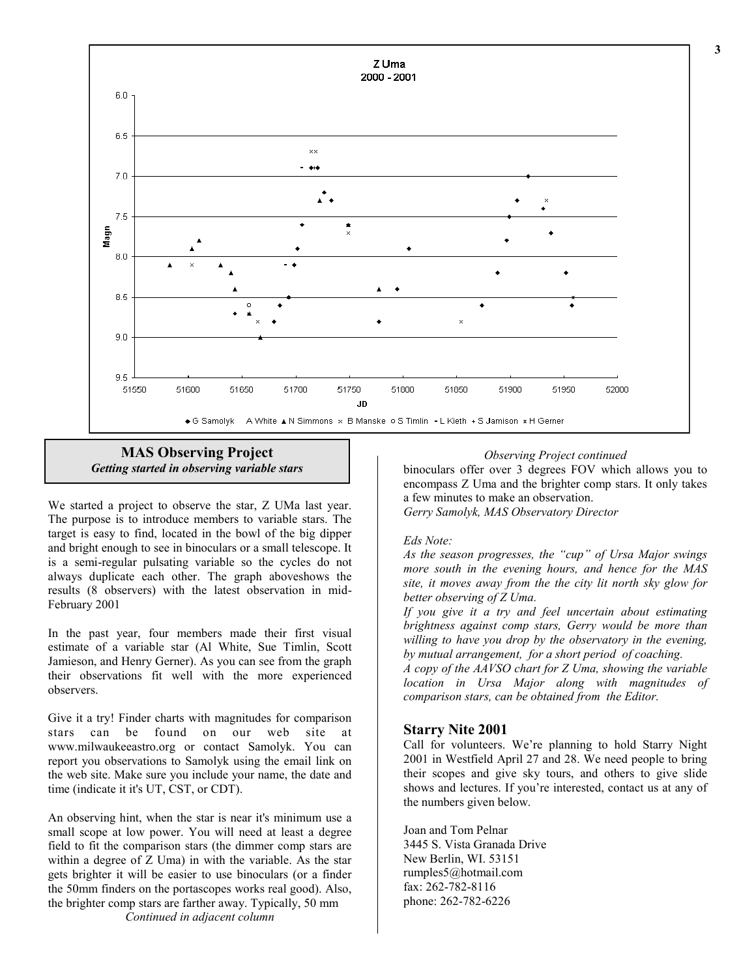

**MAS Observing Project** *Getting started in observing variable stars*

We started a project to observe the star, Z UMa last year. The purpose is to introduce members to variable stars. The target is easy to find, located in the bowl of the big dipper and bright enough to see in binoculars or a small telescope. It is a semi-regular pulsating variable so the cycles do not always duplicate each other. The graph aboveshows the results (8 observers) with the latest observation in mid-February 2001

In the past year, four members made their first visual estimate of a variable star (Al White, Sue Timlin, Scott Jamieson, and Henry Gerner). As you can see from the graph their observations fit well with the more experienced observers.

Give it a try! Finder charts with magnitudes for comparison stars can be found on our web site at www.milwaukeeastro.org or contact Samolyk. You can report you observations to Samolyk using the email link on the web site. Make sure you include your name, the date and time (indicate it it's UT, CST, or CDT).

An observing hint, when the star is near it's minimum use a small scope at low power. You will need at least a degree field to fit the comparison stars (the dimmer comp stars are within a degree of Z Uma) in with the variable. As the star gets brighter it will be easier to use binoculars (or a finder the 50mm finders on the portascopes works real good). Also, the brighter comp stars are farther away. Typically, 50 mm

*Continued in adjacent column*

#### *Observing Project continued*

binoculars offer over 3 degrees FOV which allows you to encompass Z Uma and the brighter comp stars. It only takes a few minutes to make an observation. *Gerry Samolyk, MAS Observatory Director*

#### *Eds Note:*

*As the season progresses, the "cup" of Ursa Major swings more south in the evening hours, and hence for the MAS site, it moves away from the the city lit north sky glow for better observing of Z Uma.*

*If you give it a try and feel uncertain about estimating brightness against comp stars, Gerry would be more than willing to have you drop by the observatory in the evening, by mutual arrangement, for a short period of coaching.*

*A copy of the AAVSO chart for Z Uma, showing the variable location in Ursa Major along with magnitudes of comparison stars, can be obtained from the Editor.*

#### **Starry Nite 2001**

Call for volunteers. We're planning to hold Starry Night 2001 in Westfield April 27 and 28. We need people to bring their scopes and give sky tours, and others to give slide shows and lectures. If you're interested, contact us at any of the numbers given below.

Joan and Tom Pelnar 3445 S. Vista Granada Drive New Berlin, WI. 53151 rumples5@hotmail.com fax: 262-782-8116 phone: 262-782-6226